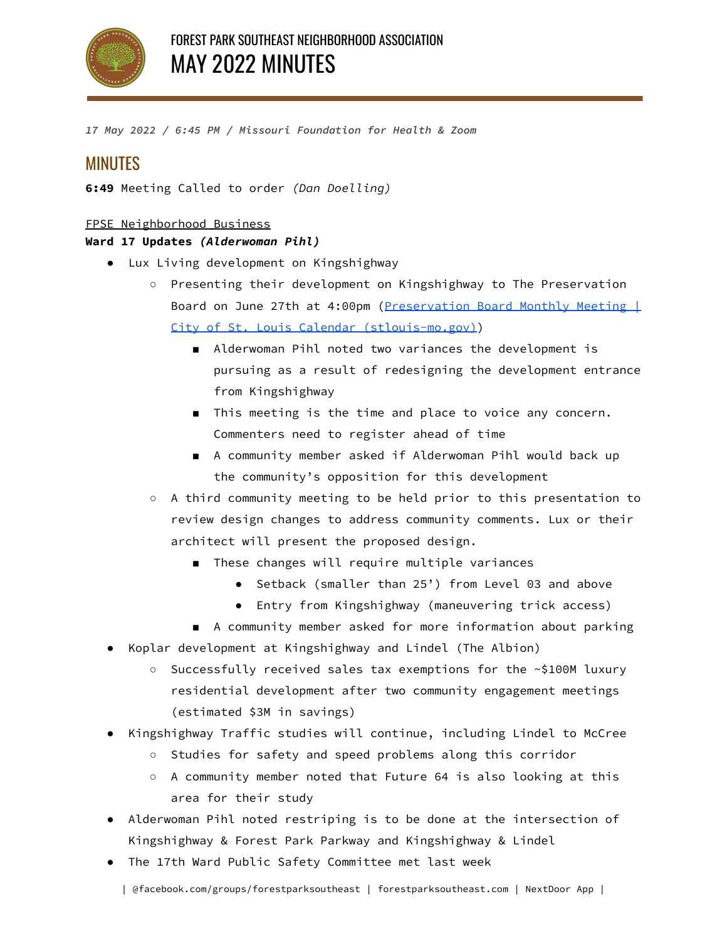

*17 May 2022 / 6:45 PM / Missouri Foundation for Health & Zoom*

# MINUTES

**6:49** Meeting Called to order *(Dan Doelling)*

## FPSE Neighborhood Business

## **Ward 17 Updates** *(Alderwoman Pihl)*

- Lux Living development on Kingshighway
	- Presenting their development on Kingshighway to The Preservation Board on June 27th at 4:00pm ([Preservation](https://www.stlouis-mo.gov/events/eventdetails.cfm?Event_ID=31214) Board Monthly Meeting | City of St. Louis Calendar [\(stlouis-mo.gov\)\)](https://www.stlouis-mo.gov/events/eventdetails.cfm?Event_ID=31214)
		- Alderwoman Pihl noted two variances the development is pursuing as a result of redesigning the development entrance from Kingshighway
		- This meeting is the time and place to voice any concern. Commenters need to register ahead of time
		- A community member asked if Alderwoman Pihl would back up the community's opposition for this development
	- A third community meeting to be held prior to this presentation to review design changes to address community comments. Lux or their architect will present the proposed design.
		- These changes will require multiple variances
			- Setback (smaller than 25') from Level 03 and above
			- Entry from Kingshighway (maneuvering trick access)
		- A community member asked for more information about parking
- Koplar development at Kingshighway and Lindel (The Albion)
	- Successfully received sales tax exemptions for the ~\$100M luxury residential development after two community engagement meetings (estimated \$3M in savings)
- Kingshighway Traffic studies will continue, including Lindel to McCree
	- Studies for safety and speed problems along this corridor
	- A community member noted that Future 64 is also looking at this area for their study
- Alderwoman Pihl noted restriping is to be done at the intersection of Kingshighway & Forest Park Parkway and Kingshighway & Lindel
- The 17th Ward Public Safety Committee met last week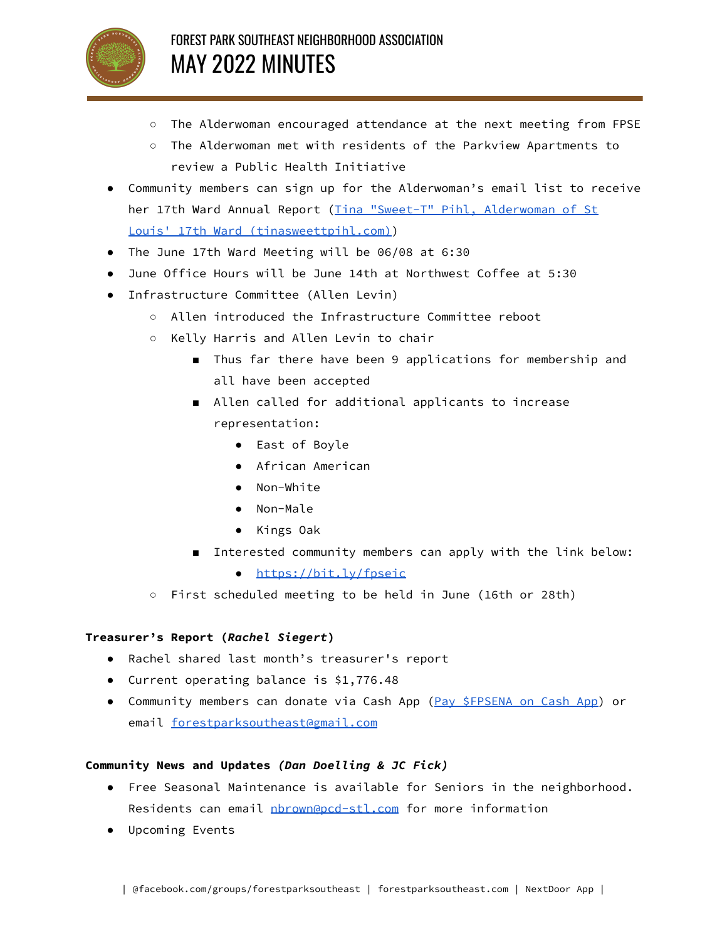

- The Alderwoman encouraged attendance at the next meeting from FPSE
- The Alderwoman met with residents of the Parkview Apartments to review a Public Health Initiative
- Community members can sign up for the Alderwoman's email list to receive her 17th Ward Annual Report (Tina "Sweet-T" Pihl, [Alderwoman](https://tinasweettpihl.com/) of St Louis' 17th Ward [\(tinasweettpihl.com\)\)](https://tinasweettpihl.com/)
- The June 17th Ward Meeting will be 06/08 at 6:30
- June Office Hours will be June 14th at Northwest Coffee at 5:30
- Infrastructure Committee (Allen Levin)
	- Allen introduced the Infrastructure Committee reboot
	- Kelly Harris and Allen Levin to chair
		- Thus far there have been 9 applications for membership and all have been accepted
		- Allen called for additional applicants to increase representation:
			- East of Boyle
			- African American
			- Non-White
			- Non-Male
			- Kings Oak
		- Interested community members can apply with the link below:
			- <https://bit.ly/fpseic>
	- First scheduled meeting to be held in June (16th or 28th)

## **Treasurer's Report (***Rachel Siegert***)**

- Rachel shared last month's treasurer's report
- Current operating balance is \$1,776.48
- Community members can donate via Cash App (Pay [\\$FPSENA](https://cash.app/$FPSENA) on Cash App) or email [forestparksoutheast@gmail.com](mailto:forestparksoutheast@gmail.com)

#### **Community News and Updates** *(Dan Doelling & JC Fick)*

- Free Seasonal Maintenance is available for Seniors in the neighborhood. Residents can email [nbrown@pcd-stl.com](mailto:nbrown@pcd-stl.com) for more information
- Upcoming Events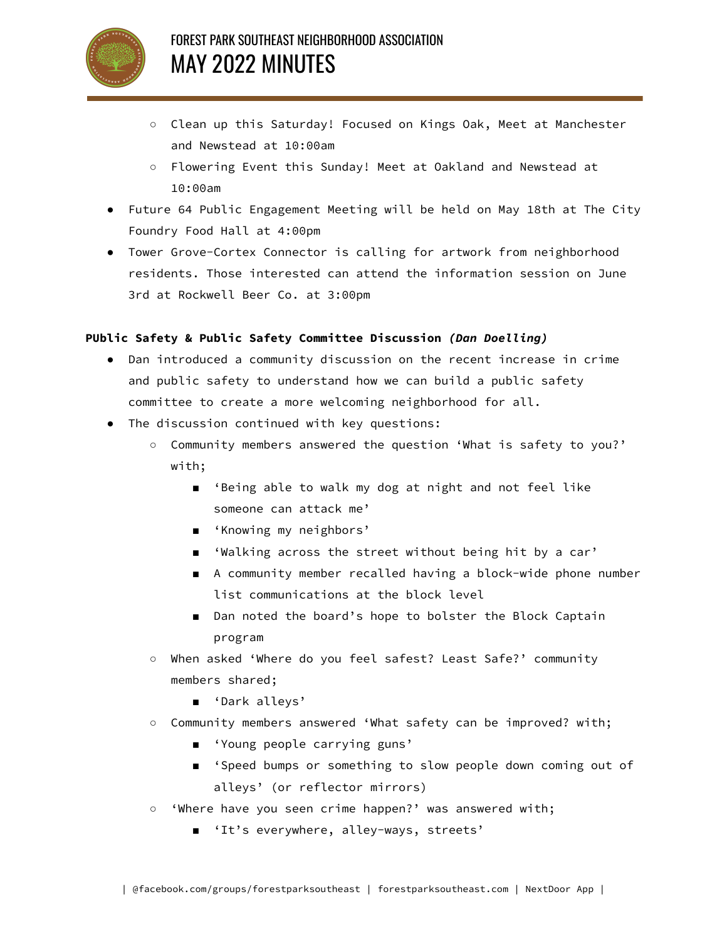

- Clean up this Saturday! Focused on Kings Oak, Meet at Manchester and Newstead at 10:00am
- Flowering Event this Sunday! Meet at Oakland and Newstead at 10:00am
- Future 64 Public Engagement Meeting will be held on May 18th at The City Foundry Food Hall at 4:00pm
- Tower Grove-Cortex Connector is calling for artwork from neighborhood residents. Those interested can attend the information session on June 3rd at Rockwell Beer Co. at 3:00pm

#### **PUblic Safety & Public Safety Committee Discussion** *(Dan Doelling)*

- Dan introduced a community discussion on the recent increase in crime and public safety to understand how we can build a public safety committee to create a more welcoming neighborhood for all.
- The discussion continued with key questions:
	- Community members answered the question 'What is safety to you?' with;
		- 'Being able to walk my dog at night and not feel like someone can attack me'
		- 'Knowing my neighbors'
		- 'Walking across the street without being hit by a car'
		- A community member recalled having a block-wide phone number list communications at the block level
		- Dan noted the board's hope to bolster the Block Captain program
	- When asked 'Where do you feel safest? Least Safe?' community members shared;
		- 'Dark alleys'
	- Community members answered 'What safety can be improved? with;
		- 'Young people carrying guns'
		- 'Speed bumps or something to slow people down coming out of alleys' (or reflector mirrors)
	- 'Where have you seen crime happen?' was answered with;
		- 'It's everywhere, alley-ways, streets'